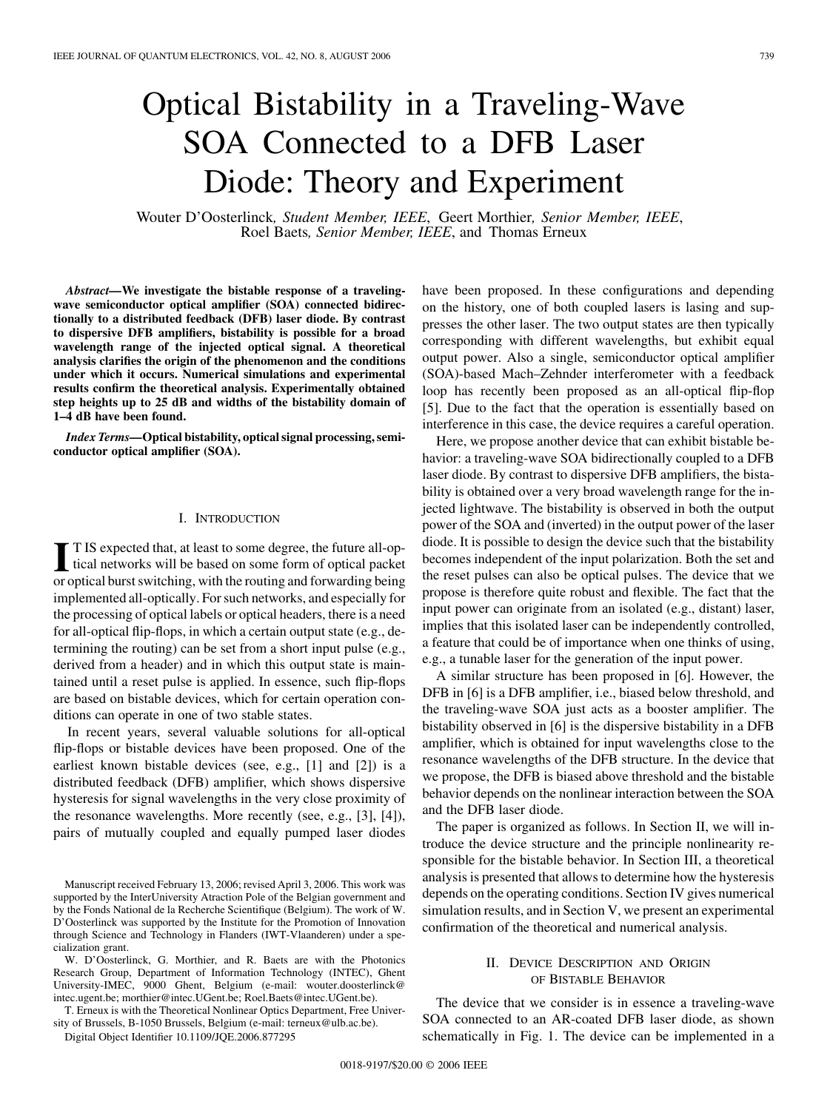# Optical Bistability in a Traveling-Wave SOA Connected to a DFB Laser Diode: Theory and Experiment

Wouter D'Oosterlinck*, Student Member, IEEE*, Geert Morthier*, Senior Member, IEEE*, Roel Baets*, Senior Member, IEEE*, and Thomas Erneux

*Abstract—***We investigate the bistable response of a travelingwave semiconductor optical amplifier (SOA) connected bidirectionally to a distributed feedback (DFB) laser diode. By contrast to dispersive DFB amplifiers, bistability is possible for a broad wavelength range of the injected optical signal. A theoretical analysis clarifies the origin of the phenomenon and the conditions under which it occurs. Numerical simulations and experimental results confirm the theoretical analysis. Experimentally obtained step heights up to 25 dB and widths of the bistability domain of 1–4 dB have been found.**

*Index Terms—***Optical bistability, optical signal processing, semiconductor optical amplifier (SOA).**

## I. INTRODUCTION

I IS expected that, at least to some degree, the future all-optical networks will be based on some form of optical packet T IS expected that, at least to some degree, the future all-opor optical burst switching, with the routing and forwarding being implemented all-optically. For such networks, and especially for the processing of optical labels or optical headers, there is a need for all-optical flip-flops, in which a certain output state (e.g., determining the routing) can be set from a short input pulse (e.g., derived from a header) and in which this output state is maintained until a reset pulse is applied. In essence, such flip-flops are based on bistable devices, which for certain operation conditions can operate in one of two stable states.

In recent years, several valuable solutions for all-optical flip-flops or bistable devices have been proposed. One of the earliest known bistable devices (see, e.g., [\[1\]](#page-7-0) and [\[2\]](#page-7-0)) is a distributed feedback (DFB) amplifier, which shows dispersive hysteresis for signal wavelengths in the very close proximity of the resonance wavelengths. More recently (see, e.g., [\[3\], \[4\]](#page-7-0)), pairs of mutually coupled and equally pumped laser diodes

Manuscript received February 13, 2006; revised April 3, 2006. This work was supported by the InterUniversity Atraction Pole of the Belgian government and by the Fonds National de la Recherche Scientifique (Belgium). The work of W. D'Oosterlinck was supported by the Institute for the Promotion of Innovation through Science and Technology in Flanders (IWT-Vlaanderen) under a specialization grant.

W. D'Oosterlinck, G. Morthier, and R. Baets are with the Photonics Research Group, Department of Information Technology (INTEC), Ghent University-IMEC, 9000 Ghent, Belgium (e-mail: wouter.doosterlinck@ intec.ugent.be; morthier@intec.UGent.be; Roel.Baets@intec.UGent.be).

T. Erneux is with the Theoretical Nonlinear Optics Department, Free University of Brussels, B-1050 Brussels, Belgium (e-mail: terneux@ulb.ac.be).

Digital Object Identifier 10.1109/JQE.2006.877295

have been proposed. In these configurations and depending on the history, one of both coupled lasers is lasing and suppresses the other laser. The two output states are then typically corresponding with different wavelengths, but exhibit equal output power. Also a single, semiconductor optical amplifier (SOA)-based Mach–Zehnder interferometer with a feedback loop has recently been proposed as an all-optical flip-flop [\[5\].](#page-7-0) Due to the fact that the operation is essentially based on interference in this case, the device requires a careful operation.

Here, we propose another device that can exhibit bistable behavior: a traveling-wave SOA bidirectionally coupled to a DFB laser diode. By contrast to dispersive DFB amplifiers, the bistability is obtained over a very broad wavelength range for the injected lightwave. The bistability is observed in both the output power of the SOA and (inverted) in the output power of the laser diode. It is possible to design the device such that the bistability becomes independent of the input polarization. Both the set and the reset pulses can also be optical pulses. The device that we propose is therefore quite robust and flexible. The fact that the input power can originate from an isolated (e.g., distant) laser, implies that this isolated laser can be independently controlled, a feature that could be of importance when one thinks of using, e.g., a tunable laser for the generation of the input power.

A similar structure has been proposed in [\[6\].](#page-7-0) However, the DFB in [\[6\]](#page-7-0) is a DFB amplifier, i.e., biased below threshold, and the traveling-wave SOA just acts as a booster amplifier. The bistability observed in [\[6\]](#page-7-0) is the dispersive bistability in a DFB amplifier, which is obtained for input wavelengths close to the resonance wavelengths of the DFB structure. In the device that we propose, the DFB is biased above threshold and the bistable behavior depends on the nonlinear interaction between the SOA and the DFB laser diode.

The paper is organized as follows. In Section II, we will introduce the device structure and the principle nonlinearity responsible for the bistable behavior. In [Section III,](#page-1-0) a theoretical analysis is presented that allows to determine how the hysteresis depends on the operating conditions. [Section IV](#page-2-0) gives numerical simulation results, and in [Section V](#page-4-0), we present an experimental confirmation of the theoretical and numerical analysis.

# II. DEVICE DESCRIPTION AND ORIGIN OF BISTABLE BEHAVIOR

The device that we consider is in essence a traveling-wave SOA connected to an AR-coated DFB laser diode, as shown schematically in [Fig. 1](#page-1-0). The device can be implemented in a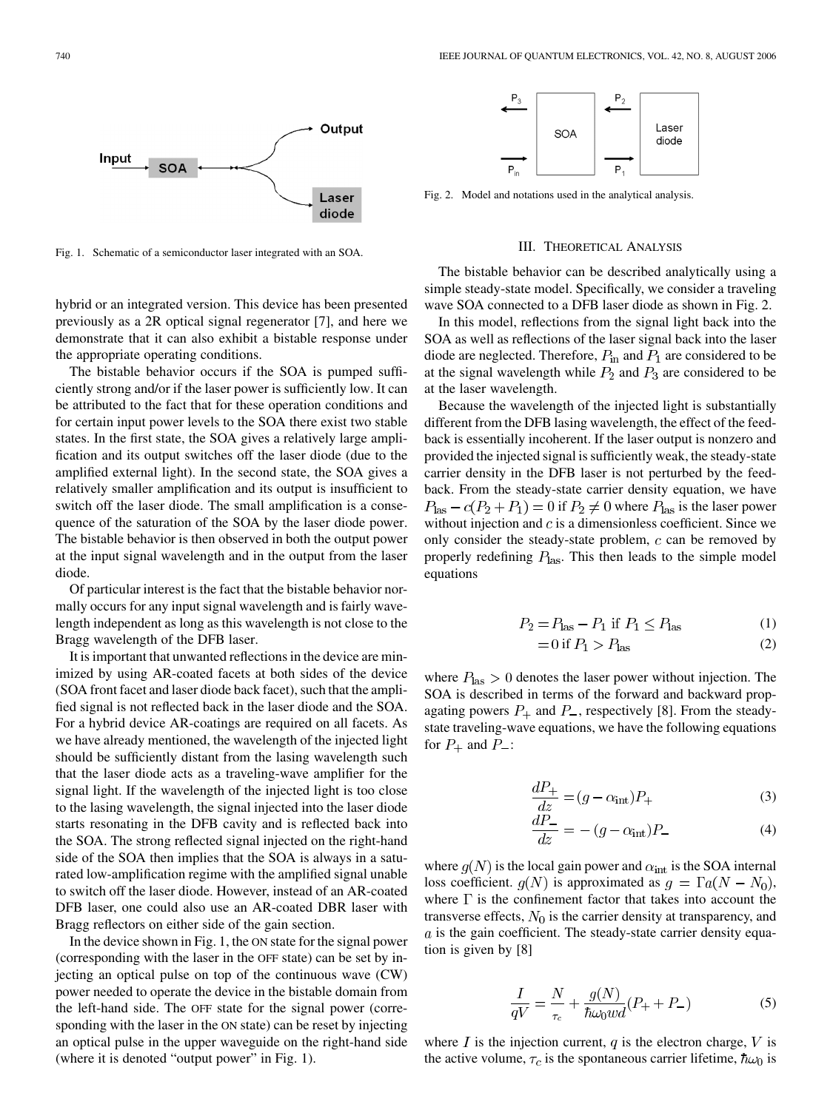<span id="page-1-0"></span>

Fig. 1. Schematic of a semiconductor laser integrated with an SOA.

hybrid or an integrated version. This device has been presented previously as a 2R optical signal regenerator [\[7\],](#page-7-0) and here we demonstrate that it can also exhibit a bistable response under the appropriate operating conditions.

The bistable behavior occurs if the SOA is pumped sufficiently strong and/or if the laser power is sufficiently low. It can be attributed to the fact that for these operation conditions and for certain input power levels to the SOA there exist two stable states. In the first state, the SOA gives a relatively large amplification and its output switches off the laser diode (due to the amplified external light). In the second state, the SOA gives a relatively smaller amplification and its output is insufficient to switch off the laser diode. The small amplification is a consequence of the saturation of the SOA by the laser diode power. The bistable behavior is then observed in both the output power at the input signal wavelength and in the output from the laser diode.

Of particular interest is the fact that the bistable behavior normally occurs for any input signal wavelength and is fairly wavelength independent as long as this wavelength is not close to the Bragg wavelength of the DFB laser.

It is important that unwanted reflections in the device are minimized by using AR-coated facets at both sides of the device (SOA front facet and laser diode back facet), such that the amplified signal is not reflected back in the laser diode and the SOA. For a hybrid device AR-coatings are required on all facets. As we have already mentioned, the wavelength of the injected light should be sufficiently distant from the lasing wavelength such that the laser diode acts as a traveling-wave amplifier for the signal light. If the wavelength of the injected light is too close to the lasing wavelength, the signal injected into the laser diode starts resonating in the DFB cavity and is reflected back into the SOA. The strong reflected signal injected on the right-hand side of the SOA then implies that the SOA is always in a saturated low-amplification regime with the amplified signal unable to switch off the laser diode. However, instead of an AR-coated DFB laser, one could also use an AR-coated DBR laser with Bragg reflectors on either side of the gain section.

In the device shown in Fig. 1, the ON state for the signal power (corresponding with the laser in the OFF state) can be set by injecting an optical pulse on top of the continuous wave (CW) power needed to operate the device in the bistable domain from the left-hand side. The OFF state for the signal power (corresponding with the laser in the ON state) can be reset by injecting an optical pulse in the upper waveguide on the right-hand side (where it is denoted "output power" in Fig. 1).



Fig. 2. Model and notations used in the analytical analysis.

### III. THEORETICAL ANALYSIS

The bistable behavior can be described analytically using a simple steady-state model. Specifically, we consider a traveling wave SOA connected to a DFB laser diode as shown in Fig. 2.

In this model, reflections from the signal light back into the SOA as well as reflections of the laser signal back into the laser diode are neglected. Therefore,  $P_{\text{in}}$  and  $P_1$  are considered to be at the signal wavelength while  $P_2$  and  $P_3$  are considered to be at the laser wavelength.

Because the wavelength of the injected light is substantially different from the DFB lasing wavelength, the effect of the feedback is essentially incoherent. If the laser output is nonzero and provided the injected signal is sufficiently weak, the steady-state carrier density in the DFB laser is not perturbed by the feedback. From the steady-state carrier density equation, we have  $P_{\text{las}} - c(P_2 + P_1) = 0$  if  $P_2 \neq 0$  where  $P_{\text{las}}$  is the laser power without injection and  $c$  is a dimensionless coefficient. Since we only consider the steady-state problem,  $c$  can be removed by properly redefining  $P_{\text{las}}$ . This then leads to the simple model equations

$$
P_2 = P_{\text{las}} - P_1 \text{ if } P_1 \le P_{\text{las}} \tag{1}
$$

$$
0 \text{ if } P_1 > P_{\text{las}} \tag{2}
$$

where  $P_{\text{las}} > 0$  denotes the laser power without injection. The SOA is described in terms of the forward and backward propagating powers  $P_+$  and  $P_-$ , respectively [\[8\]](#page-7-0). From the steadystate traveling-wave equations, we have the following equations for  $P_+$  and  $P_-$ :

 $=$ 

$$
\frac{dP_{+}}{dz} = (g - \alpha_{int})P_{+}
$$
\n
$$
\frac{dP_{-}}{dz} = -(g - \alpha_{int})P_{+}
$$
\n(3)

$$
\frac{dP_{-}}{dz} = -(g - \alpha_{\rm int})P_{-} \tag{4}
$$

where  $g(N)$  is the local gain power and  $\alpha_{int}$  is the SOA internal loss coefficient.  $q(N)$  is approximated as  $q = \Gamma a(N - N_0)$ , where  $\Gamma$  is the confinement factor that takes into account the transverse effects,  $N_0$  is the carrier density at transparency, and  $a$  is the gain coefficient. The steady-state carrier density equation is given by [\[8\]](#page-7-0)

$$
\frac{I}{qV} = \frac{N}{\tau_c} + \frac{g(N)}{\hbar \omega_0 w d} (P_+ + P_-)
$$
\n(5)

where I is the injection current, q is the electron charge, V is the active volume,  $\tau_c$  is the spontaneous carrier lifetime,  $\hbar \omega_0$  is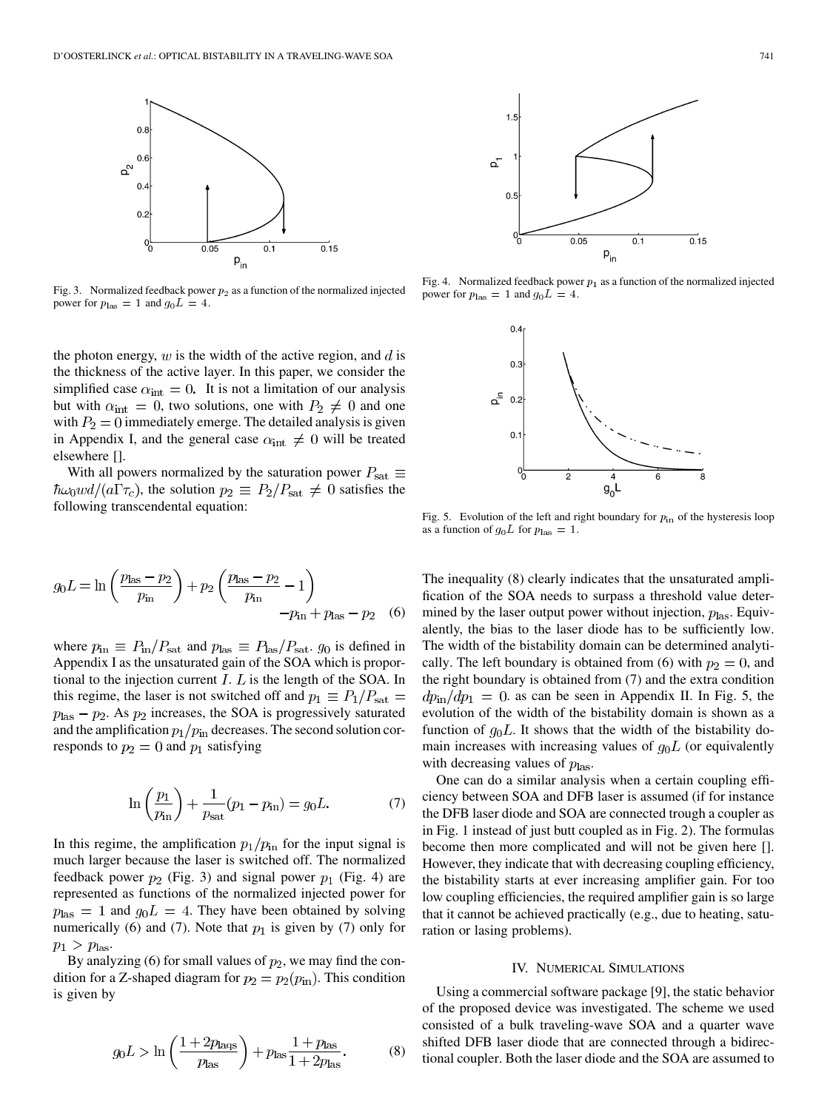<span id="page-2-0"></span>

Fig. 3. Normalized feedback power  $p_2$  as a function of the normalized injected power for  $p_{\text{las}} = 1$  and  $g_0 L = 4$ .

the photon energy,  $w$  is the width of the active region, and  $d$  is the thickness of the active layer. In this paper, we consider the simplified case  $\alpha_{\rm int} = 0$ . It is not a limitation of our analysis but with  $\alpha_{\rm int} = 0$ , two solutions, one with  $P_2 \neq 0$  and one with  $P_2 = 0$  immediately emerge. The detailed analysis is given in [Appendix I](#page-5-0), and the general case  $\alpha_{int} \neq 0$  will be treated elsewhere [].

With all powers normalized by the saturation power  $P_{\text{sat}} \equiv$  $\hbar\omega_0 w d/(a\Gamma\tau_c)$ , the solution  $p_2 \equiv P_2/P_{\rm sat} \neq 0$  satisfies the following transcendental equation:

$$
g_0 L = \ln\left(\frac{p_{\text{las}} - p_2}{p_{\text{in}}}\right) + p_2 \left(\frac{p_{\text{las}} - p_2}{p_{\text{in}}} - 1\right) - p_{\text{in}} + p_{\text{las}} - p_2 \quad (6)
$$

where  $p_{\rm in} \equiv P_{\rm in}/P_{\rm sat}$  and  $p_{\rm las} \equiv P_{\rm las}/P_{\rm sat}$ .  $g_0$  is defined in [Appendix I](#page-5-0) as the unsaturated gain of the SOA which is proportional to the injection current  $I. L$  is the length of the SOA. In this regime, the laser is not switched off and  $p_1 \equiv P_1/P_{\rm sat} =$  $p_{\text{las}} - p_2$ . As  $p_2$  increases, the SOA is progressively saturated and the amplification  $p_1/p_{\text{in}}$  decreases. The second solution corresponds to  $p_2 = 0$  and  $p_1$  satisfying

$$
\ln\left(\frac{p_1}{p_{\text{in}}}\right) + \frac{1}{p_{\text{sat}}}(p_1 - p_{\text{in}}) = g_0 L. \tag{7}
$$

In this regime, the amplification  $p_1/p_{\text{in}}$  for the input signal is much larger because the laser is switched off. The normalized feedback power  $p_2$  (Fig. 3) and signal power  $p_1$  (Fig. 4) are represented as functions of the normalized injected power for  $p_{\text{las}} = 1$  and  $g_0 L = 4$ . They have been obtained by solving numerically (6) and (7). Note that  $p_1$  is given by (7) only for  $p_1 > p_{\text{las}}$ .

By analyzing (6) for small values of  $p_2$ , we may find the condition for a Z-shaped diagram for  $p_2 = p_2(p_{\text{in}})$ . This condition is given by

$$
g_0 L > \ln\left(\frac{1 + 2p_{\text{laqs}}}{p_{\text{las}}}\right) + p_{\text{las}} \frac{1 + p_{\text{las}}}{1 + 2p_{\text{las}}}.\tag{8}
$$



Fig. 4. Normalized feedback power  $p_1$  as a function of the normalized injected power for  $p_{\text{las}} = 1$  and  $g_0 L = 4$ .



Fig. 5. Evolution of the left and right boundary for  $p_{\text{in}}$  of the hysteresis loop as a function of  $g_0 L$  for  $p_{\text{las}} = 1$ .

The inequality (8) clearly indicates that the unsaturated amplification of the SOA needs to surpass a threshold value determined by the laser output power without injection,  $p_{\text{las}}$ . Equivalently, the bias to the laser diode has to be sufficiently low. The width of the bistability domain can be determined analytically. The left boundary is obtained from (6) with  $p_2 = 0$ , and the right boundary is obtained from (7) and the extra condition  $dp_{\rm in}/dp_1 = 0$ . as can be seen in [Appendix II.](#page-6-0) In Fig. 5, the evolution of the width of the bistability domain is shown as a function of  $g_0L$ . It shows that the width of the bistability domain increases with increasing values of  $g_0L$  (or equivalently with decreasing values of  $p_{\text{las}}$ .

One can do a similar analysis when a certain coupling efficiency between SOA and DFB laser is assumed (if for instance the DFB laser diode and SOA are connected trough a coupler as in [Fig. 1](#page-1-0) instead of just butt coupled as in [Fig. 2\)](#page-1-0). The formulas become then more complicated and will not be given here []. However, they indicate that with decreasing coupling efficiency, the bistability starts at ever increasing amplifier gain. For too low coupling efficiencies, the required amplifier gain is so large that it cannot be achieved practically (e.g., due to heating, saturation or lasing problems).

#### IV. NUMERICAL SIMULATIONS

Using a commercial software package [\[9\]](#page-7-0), the static behavior of the proposed device was investigated. The scheme we used consisted of a bulk traveling-wave SOA and a quarter wave shifted DFB laser diode that are connected through a bidirectional coupler. Both the laser diode and the SOA are assumed to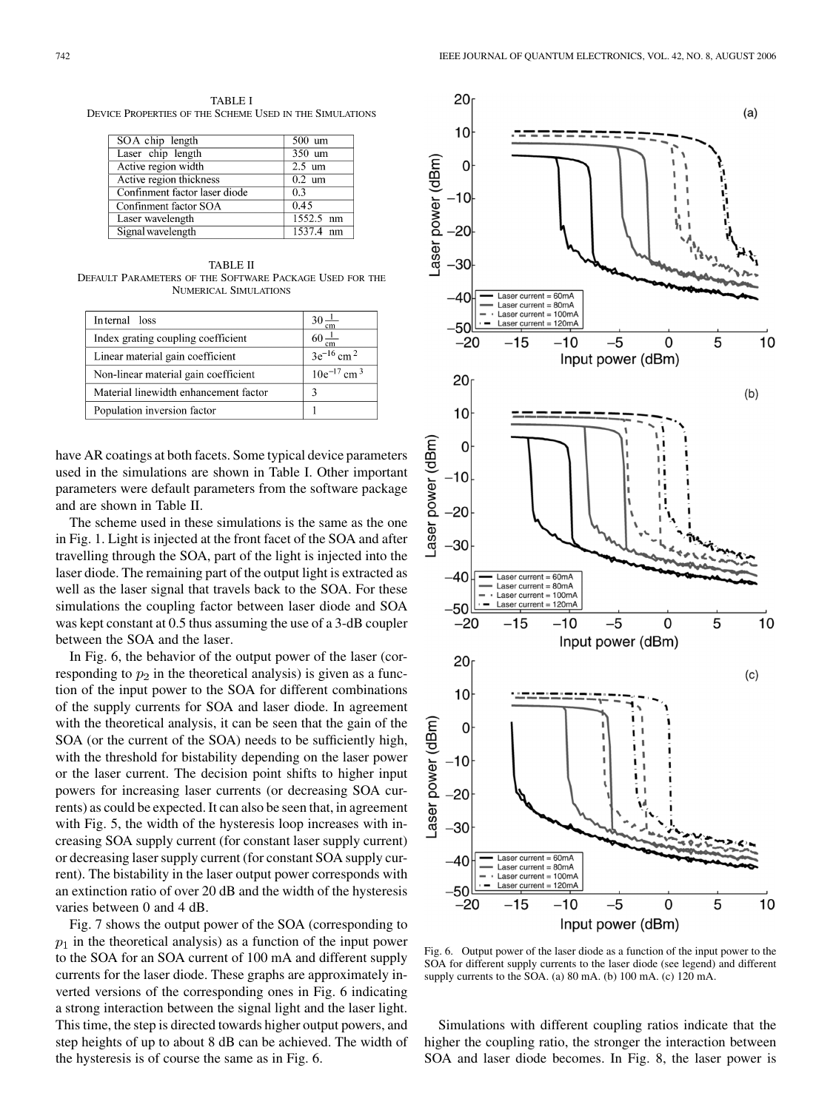<span id="page-3-0"></span>

| SOA chip length               | 500 um           |
|-------------------------------|------------------|
| Laser chip length             | 350 um           |
| Active region width           | $2.5 \text{ um}$ |
| Active region thickness       | $0.2 \text{ um}$ |
| Confinment factor laser diode | 0.3              |
| Confinment factor SOA         | 0.45             |
| Laser wavelength              | 1552.5 nm        |
| Signal wavelength             | 1537.4 nm        |

TABLE II DEFAULT PARAMETERS OF THE SOFTWARE PACKAGE USED FOR THE NUMERICAL SIMULATIONS

| Internal loss                         | $30 -$<br>cm               |
|---------------------------------------|----------------------------|
| Index grating coupling coefficient    | $60 -$<br>em               |
| Linear material gain coefficient      | $3e^{-16}$ cm <sup>2</sup> |
| Non-linear material gain coefficient  | $10e^{-17}$ cm $3$         |
| Material linewidth enhancement factor | 3                          |
| Population inversion factor           |                            |

have AR coatings at both facets. Some typical device parameters used in the simulations are shown in Table I. Other important parameters were default parameters from the software package and are shown in Table II.

The scheme used in these simulations is the same as the one in [Fig. 1](#page-1-0). Light is injected at the front facet of the SOA and after travelling through the SOA, part of the light is injected into the laser diode. The remaining part of the output light is extracted as well as the laser signal that travels back to the SOA. For these simulations the coupling factor between laser diode and SOA was kept constant at 0.5 thus assuming the use of a 3-dB coupler between the SOA and the laser.

In Fig. 6, the behavior of the output power of the laser (corresponding to  $p_2$  in the theoretical analysis) is given as a function of the input power to the SOA for different combinations of the supply currents for SOA and laser diode. In agreement with the theoretical analysis, it can be seen that the gain of the SOA (or the current of the SOA) needs to be sufficiently high, with the threshold for bistability depending on the laser power or the laser current. The decision point shifts to higher input powers for increasing laser currents (or decreasing SOA currents) as could be expected. It can also be seen that, in agreement with [Fig. 5](#page-2-0), the width of the hysteresis loop increases with increasing SOA supply current (for constant laser supply current) or decreasing laser supply current (for constant SOA supply current). The bistability in the laser output power corresponds with an extinction ratio of over 20 dB and the width of the hysteresis varies between 0 and 4 dB.

[Fig. 7](#page-4-0) shows the output power of the SOA (corresponding to  $p_1$  in the theoretical analysis) as a function of the input power to the SOA for an SOA current of 100 mA and different supply currents for the laser diode. These graphs are approximately inverted versions of the corresponding ones in Fig. 6 indicating a strong interaction between the signal light and the laser light. This time, the step is directed towards higher output powers, and step heights of up to about 8 dB can be achieved. The width of the hysteresis is of course the same as in Fig. 6.



Fig. 6. Output power of the laser diode as a function of the input power to the SOA for different supply currents to the laser diode (see legend) and different supply currents to the SOA. (a) 80 mA. (b) 100 mA. (c) 120 mA.

Simulations with different coupling ratios indicate that the higher the coupling ratio, the stronger the interaction between SOA and laser diode becomes. In [Fig. 8,](#page-4-0) the laser power is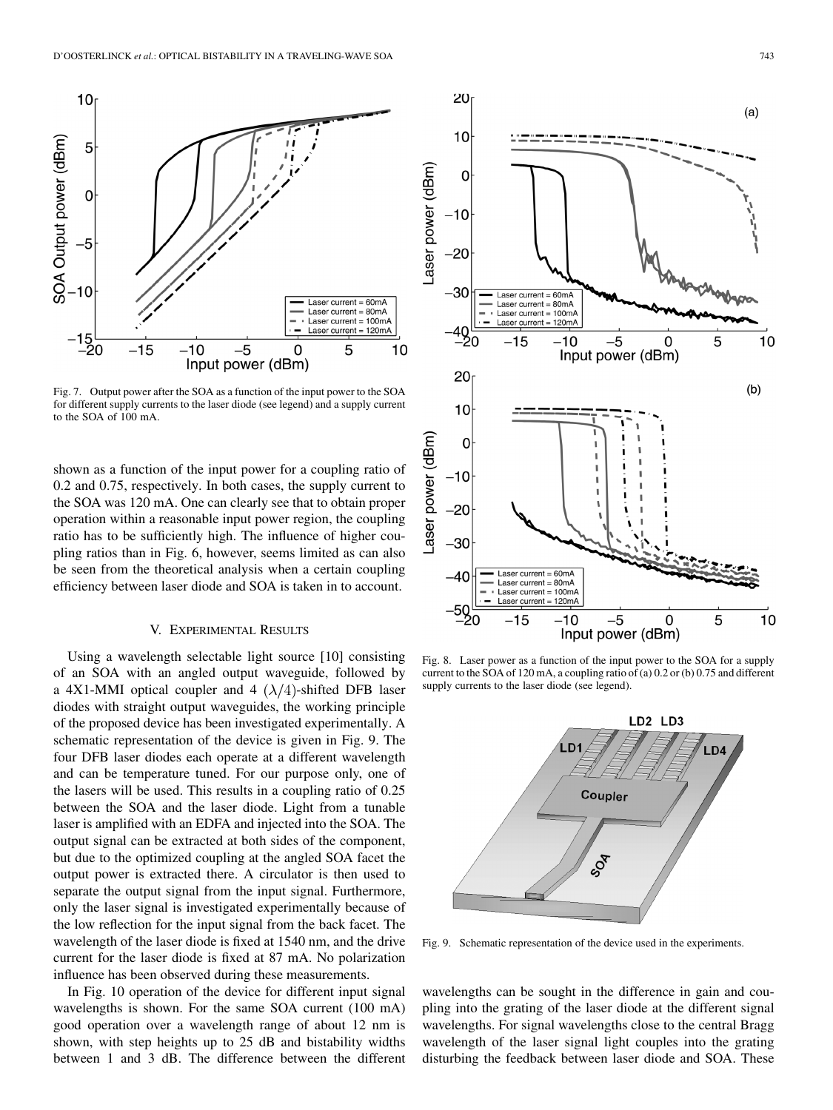<span id="page-4-0"></span>

Fig. 7. Output power after the SOA as a function of the input power to the SOA for different supply currents to the laser diode (see legend) and a supply current to the SOA of 100 mA.

shown as a function of the input power for a coupling ratio of 0.2 and 0.75, respectively. In both cases, the supply current to the SOA was 120 mA. One can clearly see that to obtain proper operation within a reasonable input power region, the coupling ratio has to be sufficiently high. The influence of higher coupling ratios than in [Fig. 6,](#page-3-0) however, seems limited as can also be seen from the theoretical analysis when a certain coupling efficiency between laser diode and SOA is taken in to account.

## V. EXPERIMENTAL RESULTS

Using a wavelength selectable light source [\[10\]](#page-7-0) consisting of an SOA with an angled output waveguide, followed by a 4X1-MMI optical coupler and 4  $(\lambda/4)$ -shifted DFB laser diodes with straight output waveguides, the working principle of the proposed device has been investigated experimentally. A schematic representation of the device is given in Fig. 9. The four DFB laser diodes each operate at a different wavelength and can be temperature tuned. For our purpose only, one of the lasers will be used. This results in a coupling ratio of 0.25 between the SOA and the laser diode. Light from a tunable laser is amplified with an EDFA and injected into the SOA. The output signal can be extracted at both sides of the component, but due to the optimized coupling at the angled SOA facet the output power is extracted there. A circulator is then used to separate the output signal from the input signal. Furthermore, only the laser signal is investigated experimentally because of the low reflection for the input signal from the back facet. The wavelength of the laser diode is fixed at 1540 nm, and the drive current for the laser diode is fixed at 87 mA. No polarization influence has been observed during these measurements.

In [Fig. 10](#page-5-0) operation of the device for different input signal wavelengths is shown. For the same SOA current (100 mA) good operation over a wavelength range of about 12 nm is shown, with step heights up to 25 dB and bistability widths between 1 and 3 dB. The difference between the different



Fig. 8. Laser power as a function of the input power to the SOA for a supply current to the SOA of 120 mA, a coupling ratio of (a) 0.2 or (b) 0.75 and different supply currents to the laser diode (see legend).



Fig. 9. Schematic representation of the device used in the experiments.

wavelengths can be sought in the difference in gain and coupling into the grating of the laser diode at the different signal wavelengths. For signal wavelengths close to the central Bragg wavelength of the laser signal light couples into the grating disturbing the feedback between laser diode and SOA. These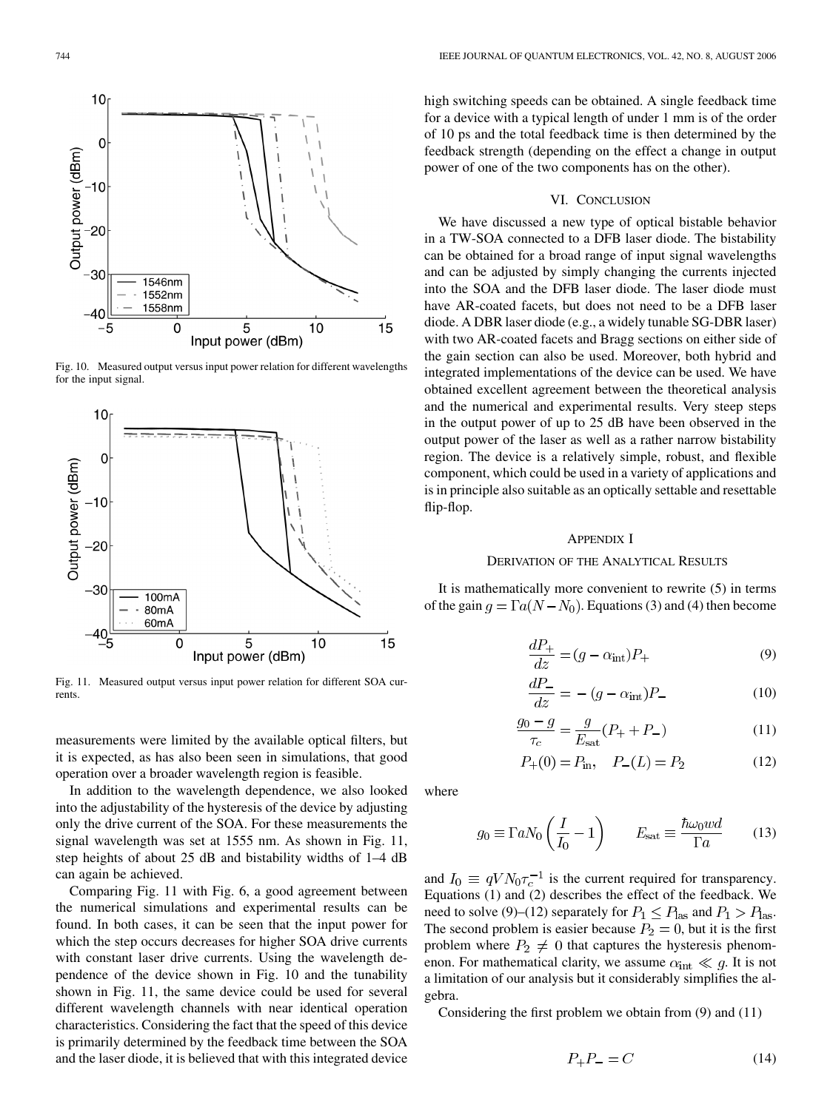<span id="page-5-0"></span>

Fig. 10. Measured output versus input power relation for different wavelengths for the input signal.



Fig. 11. Measured output versus input power relation for different SOA currents

measurements were limited by the available optical filters, but it is expected, as has also been seen in simulations, that good operation over a broader wavelength region is feasible.

In addition to the wavelength dependence, we also looked into the adjustability of the hysteresis of the device by adjusting only the drive current of the SOA. For these measurements the signal wavelength was set at 1555 nm. As shown in Fig. 11, step heights of about 25 dB and bistability widths of 1–4 dB can again be achieved.

Comparing Fig. 11 with [Fig. 6,](#page-3-0) a good agreement between the numerical simulations and experimental results can be found. In both cases, it can be seen that the input power for which the step occurs decreases for higher SOA drive currents with constant laser drive currents. Using the wavelength dependence of the device shown in Fig. 10 and the tunability shown in Fig. 11, the same device could be used for several different wavelength channels with near identical operation characteristics. Considering the fact that the speed of this device is primarily determined by the feedback time between the SOA and the laser diode, it is believed that with this integrated device high switching speeds can be obtained. A single feedback time for a device with a typical length of under 1 mm is of the order of 10 ps and the total feedback time is then determined by the feedback strength (depending on the effect a change in output power of one of the two components has on the other).

# VI. CONCLUSION

We have discussed a new type of optical bistable behavior in a TW-SOA connected to a DFB laser diode. The bistability can be obtained for a broad range of input signal wavelengths and can be adjusted by simply changing the currents injected into the SOA and the DFB laser diode. The laser diode must have AR-coated facets, but does not need to be a DFB laser diode. A DBR laser diode (e.g., a widely tunable SG-DBR laser) with two AR-coated facets and Bragg sections on either side of the gain section can also be used. Moreover, both hybrid and integrated implementations of the device can be used. We have obtained excellent agreement between the theoretical analysis and the numerical and experimental results. Very steep steps in the output power of up to 25 dB have been observed in the output power of the laser as well as a rather narrow bistability region. The device is a relatively simple, robust, and flexible component, which could be used in a variety of applications and is in principle also suitable as an optically settable and resettable flip-flop.

#### APPENDIX I

#### DERIVATION OF THE ANALYTICAL RESULTS

It is mathematically more convenient to rewrite [\(5\)](#page-1-0) in terms of the gain  $q = \Gamma a (N - N_0)$ . Equations [\(3\) and \(4\)](#page-1-0) then become

$$
\frac{dP_{+}}{dz} = (g - \alpha_{\rm int})P_{+}
$$
\n(9)

$$
\frac{dP_{-}}{dz} = -(g - \alpha_{\rm int})P_{-} \tag{10}
$$

$$
\frac{g_0 - g}{\tau_c} = \frac{g}{E_{\text{sat}}} (P_+ + P_-)
$$
 (11)

$$
P_{+}(0) = P_{\text{in}}, \quad P_{-}(L) = P_{2} \tag{12}
$$

where

$$
g_0 \equiv \Gamma a N_0 \left(\frac{I}{I_0} - 1\right) \qquad E_{\text{sat}} \equiv \frac{\hbar \omega_0 w d}{\Gamma a} \tag{13}
$$

and  $I_0 \equiv qV N_0 \tau_c^{-1}$  is the current required for transparency. Equations [\(1\) and \(2\)](#page-1-0) describes the effect of the feedback. We need to solve (9)–(12) separately for  $P_1 \leq P_{\text{las}}$  and  $P_1 > P_{\text{las}}$ . The second problem is easier because  $P_2 = 0$ , but it is the first problem where  $P_2 \neq 0$  that captures the hysteresis phenomenon. For mathematical clarity, we assume  $\alpha_{\rm int} \ll g$ . It is not a limitation of our analysis but it considerably simplifies the algebra.

Considering the first problem we obtain from (9) and (11)

$$
P_+P_- = C \tag{14}
$$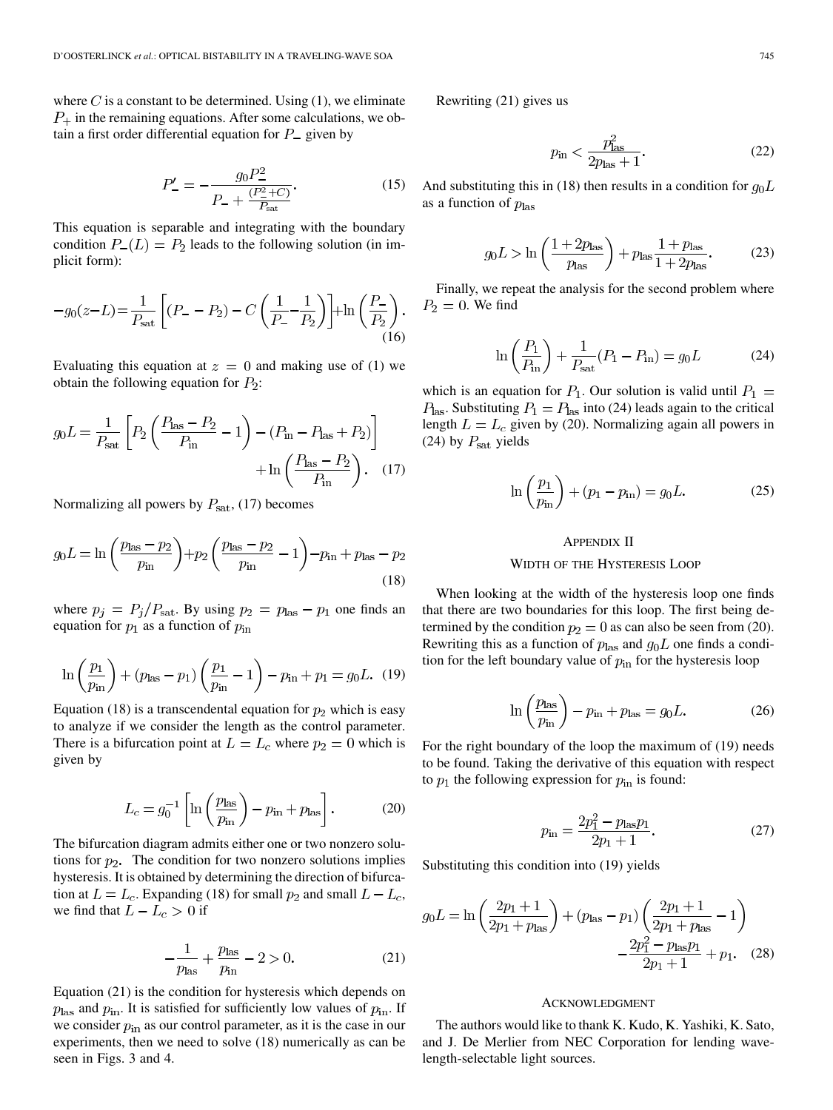<span id="page-6-0"></span>where  $C$  is a constant to be determined. Using [\(1\),](#page-1-0) we eliminate  $P_+$  in the remaining equations. After some calculations, we obtain a first order differential equation for  $P_$  given by

$$
P'_{-} = -\frac{g_0 P_{-}^2}{P_{-} + \frac{(P_{-}^2 + C)}{P_{\text{sat}}}}.\tag{15}
$$

This equation is separable and integrating with the boundary condition  $P_-(L) = P_2$  leads to the following solution (in implicit form):

$$
-g_0(z-L) = \frac{1}{P_{\rm sat}} \left[ (P_- - P_2) - C \left( \frac{1}{P_-} - \frac{1}{P_2} \right) \right] + \ln \left( \frac{P_-}{P_2} \right). \tag{16}
$$

Evaluating this equation at  $z = 0$  and making use of (1) we obtain the following equation for  $P_2$ :

$$
g_0 L = \frac{1}{P_{\text{sat}}} \left[ P_2 \left( \frac{P_{\text{las}} - P_2}{P_{\text{in}}} - 1 \right) - (P_{\text{in}} - P_{\text{las}} + P_2) \right] + \ln \left( \frac{P_{\text{las}} - P_2}{P_{\text{in}}} \right). \quad (17)
$$

Normalizing all powers by  $P_{\text{sat}}$ , (17) becomes

$$
g_0 L = \ln\left(\frac{p_{\text{las}} - p_2}{p_{\text{in}}}\right) + p_2 \left(\frac{p_{\text{las}} - p_2}{p_{\text{in}}} - 1\right) - p_{\text{in}} + p_{\text{las}} - p_2
$$
\n(18)

where  $p_j = P_j/P_{\text{sat}}$ . By using  $p_2 = p_{\text{las}} - p_1$  one finds an equation for  $p_1$  as a function of  $p_{\text{in}}$ 

$$
\ln\left(\frac{p_1}{p_{\text{in}}}\right) + (p_{\text{las}} - p_1)\left(\frac{p_1}{p_{\text{in}}} - 1\right) - p_{\text{in}} + p_1 = g_0 L. \tag{19}
$$

Equation (18) is a transcendental equation for  $p_2$  which is easy to analyze if we consider the length as the control parameter. There is a bifurcation point at  $L = L_c$  where  $p_2 = 0$  which is given by

$$
L_c = g_0^{-1} \left[ \ln \left( \frac{p_{\text{las}}}{p_{\text{in}}} \right) - p_{\text{in}} + p_{\text{las}} \right]. \tag{20}
$$

The bifurcation diagram admits either one or two nonzero solutions for  $p_2$ . The condition for two nonzero solutions implies hysteresis. It is obtained by determining the direction of bifurcation at  $L = L_c$ . Expanding (18) for small  $p_2$  and small  $L - L_c$ , we find that  $L - L_c > 0$  if

$$
-\frac{1}{p_{\text{las}}} + \frac{p_{\text{las}}}{p_{\text{in}}} - 2 > 0.
$$
 (21)

Equation (21) is the condition for hysteresis which depends on  $p_{\text{las}}$  and  $p_{\text{in}}$ . It is satisfied for sufficiently low values of  $p_{\text{in}}$ . If we consider  $p_{\text{in}}$  as our control parameter, as it is the case in our experiments, then we need to solve (18) numerically as can be seen in [Figs. 3](#page-2-0) and [4](#page-2-0).

Rewriting (21) gives us

$$
p_{\rm in} < \frac{p_{\rm las}^2}{2p_{\rm las} + 1}.\tag{22}
$$

And substituting this in (18) then results in a condition for  $q_0L$ as a function of  $p_{\text{las}}$ 

$$
g_0 L > \ln\left(\frac{1 + 2p_{\text{las}}}{p_{\text{las}}}\right) + p_{\text{las}} \frac{1 + p_{\text{las}}}{1 + 2p_{\text{las}}}.\tag{23}
$$

Finally, we repeat the analysis for the second problem where  $P_2 = 0$ . We find

$$
\ln\left(\frac{P_1}{P_{\text{in}}}\right) + \frac{1}{P_{\text{sat}}}(P_1 - P_{\text{in}}) = g_0 L \tag{24}
$$

which is an equation for  $P_1$ . Our solution is valid until  $P_1$  =  $P_{\text{las}}$ . Substituting  $P_1 = P_{\text{las}}$  into (24) leads again to the critical length  $L = L_c$  given by (20). Normalizing again all powers in (24) by  $P_{\text{sat}}$  yields

$$
\ln\left(\frac{p_1}{p_{\text{in}}}\right) + (p_1 - p_{\text{in}}) = g_0 L. \tag{25}
$$

# APPENDIX II

## WIDTH OF THE HYSTERESIS LOOP

When looking at the width of the hysteresis loop one finds that there are two boundaries for this loop. The first being determined by the condition  $p_2 = 0$  as can also be seen from (20). Rewriting this as a function of  $p_{\text{las}}$  and  $g_0L$  one finds a condition for the left boundary value of  $p_{\text{in}}$  for the hysteresis loop

$$
\ln\left(\frac{p_{\text{las}}}{p_{\text{in}}}\right) - p_{\text{in}} + p_{\text{las}} = g_0 L. \tag{26}
$$

For the right boundary of the loop the maximum of (19) needs to be found. Taking the derivative of this equation with respect to  $p_1$  the following expression for  $p_{\text{in}}$  is found:

$$
p_{\rm in} = \frac{2p_1^2 - p_{\rm las}p_1}{2p_1 + 1}.\tag{27}
$$

Substituting this condition into (19) yields

$$
g_0 L = \ln\left(\frac{2p_1 + 1}{2p_1 + p_{\text{las}}}\right) + (p_{\text{las}} - p_1) \left(\frac{2p_1 + 1}{2p_1 + p_{\text{las}}} - 1\right) - \frac{2p_1^2 - p_{\text{las}}p_1}{2p_1 + 1} + p_1. \quad (28)
$$

## ACKNOWLEDGMENT

The authors would like to thank K. Kudo, K. Yashiki, K. Sato, and J. De Merlier from NEC Corporation for lending wavelength-selectable light sources.